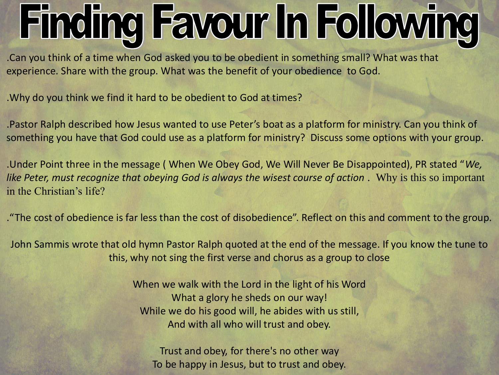## **Finding Favour In Following**

.Can you think of a time when God asked you to be obedient in something small? What was that experience. Share with the group. What was the benefit of your obedience to God.

.Why do you think we find it hard to be obedient to God at times?

.Pastor Ralph described how Jesus wanted to use Peter's boat as a platform for ministry. Can you think of something you have that God could use as a platform for ministry? Discuss some options with your group.

.Under Point three in the message ( When We Obey God, We Will Never Be Disappointed), PR stated "*We, like Peter, must recognize that obeying God is always the wisest course of action .* Why is this so important in the Christian's life?

."The cost of obedience is far less than the cost of disobedience". Reflect on this and comment to the group.

John Sammis wrote that old hymn Pastor Ralph quoted at the end of the message. If you know the tune to this, why not sing the first verse and chorus as a group to close

> When we walk with the Lord in the light of his Word What a glory he sheds on our way! While we do his good will, he abides with us still, And with all who will trust and obey.

Trust and obey, for there's no other way To be happy in Jesus, but to trust and obey.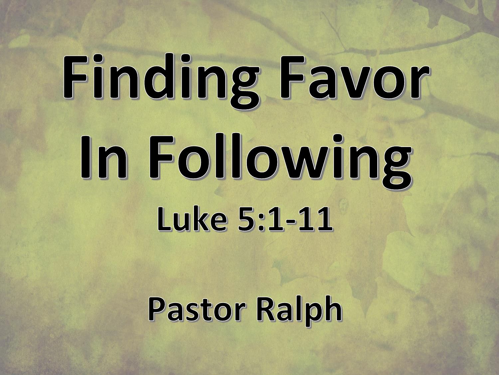# Finding Favor In Following Luke 5:1-11

**Pastor Ralph**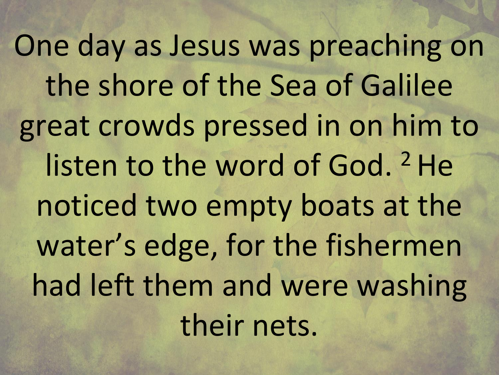One day as Jesus was preaching on the shore of the Sea of Galilee great crowds pressed in on him to listen to the word of God. <sup>2</sup> He noticed two empty boats at the water's edge, for the fishermen had left them and were washing their nets.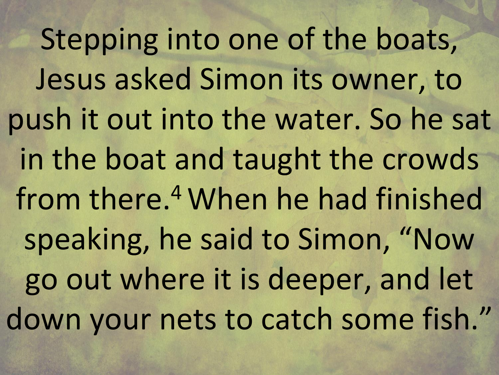Stepping into one of the boats, Jesus asked Simon its owner, to push it out into the water. So he sat in the boat and taught the crowds from there.<sup>4</sup> When he had finished speaking, he said to Simon, "Now go out where it is deeper, and let down your nets to catch some fish."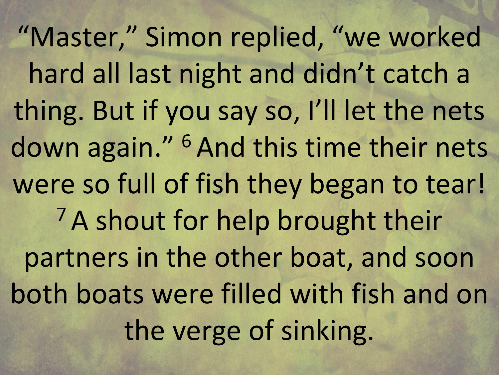"Master," Simon replied, "we worked hard all last night and didn't catch a thing. But if you say so, I'll let the nets down again." <sup>6</sup> And this time their nets were so full of fish they began to tear! <sup>7</sup> A shout for help brought their partners in the other boat, and soon both boats were filled with fish and on the verge of sinking.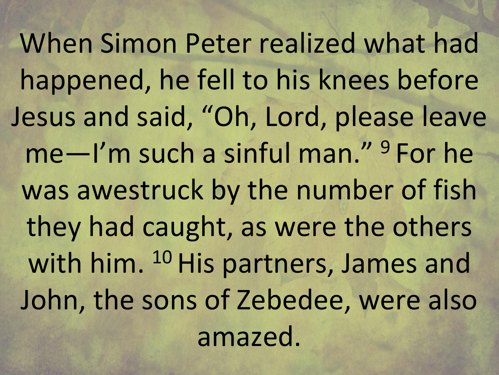When Simon Peter realized what had happened, he fell to his knees before Jesus and said, "Oh, Lord, please leave me—I'm such a sinful man." <sup>9</sup> For he was awestruck by the number of fish they had caught, as were the others with him. <sup>10</sup> His partners, James and John, the sons of Zebedee, were also amazed.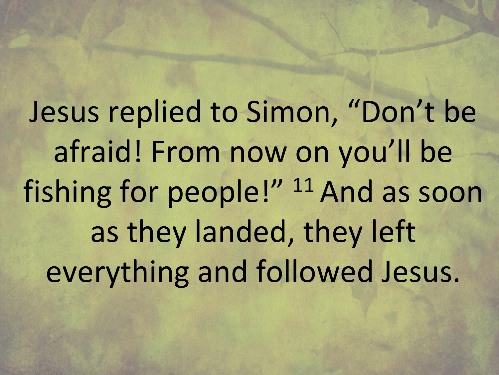Jesus replied to Simon, "Don't be afraid! From now on you'll be fishing for people!" <sup>11</sup> And as soon as they landed, they left everything and followed Jesus.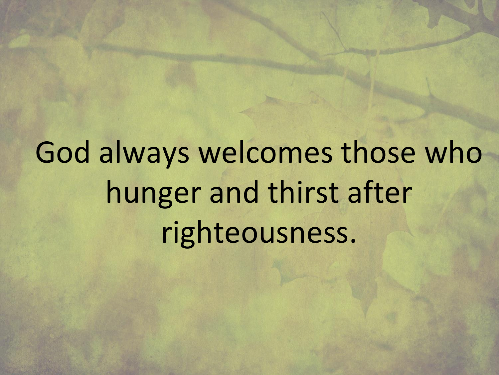God always welcomes those who hunger and thirst after righteousness.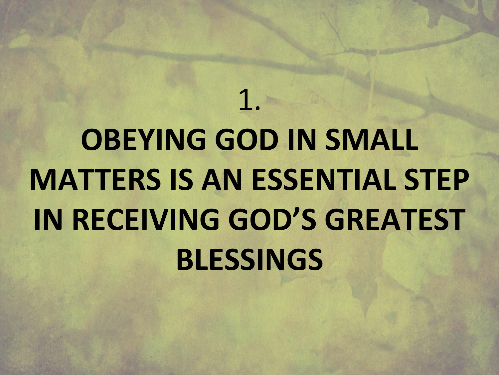#### **OBEYING GOD IN SMALL MATTERS IS AN ESSENTIAL STEP IN RECEIVING GOD'S GREATEST BLESSINGS**

1.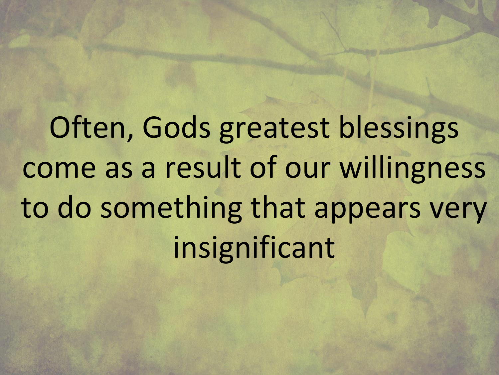Often, Gods greatest blessings come as a result of our willingness to do something that appears very insignificant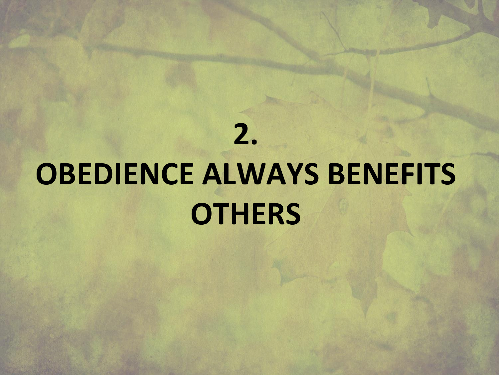#### **2. OBEDIENCE ALWAYS BENEFITS OTHERS**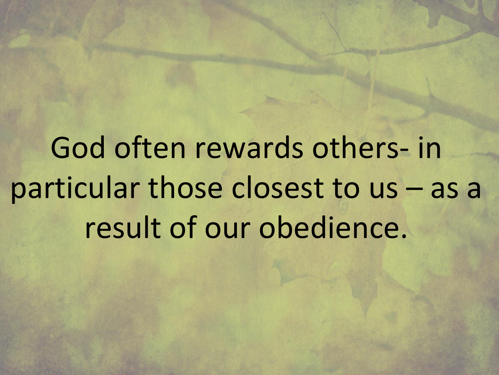God often rewards others- in particular those closest to us – as a result of our obedience.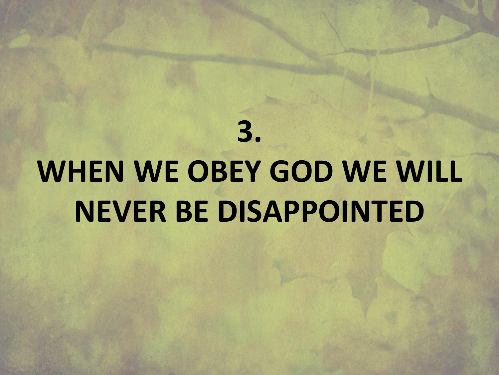### **WHEN WE OBEY GOD WE WILL NEVER BE DISAPPOINTED**

**3.**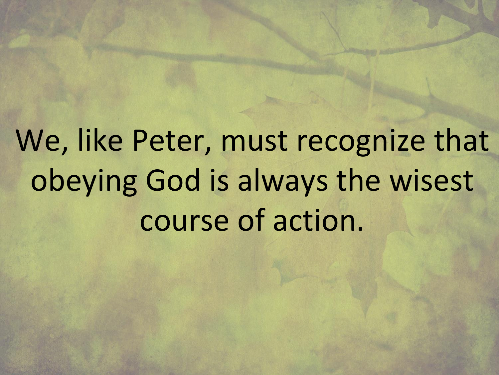We, like Peter, must recognize that obeying God is always the wisest course of action.